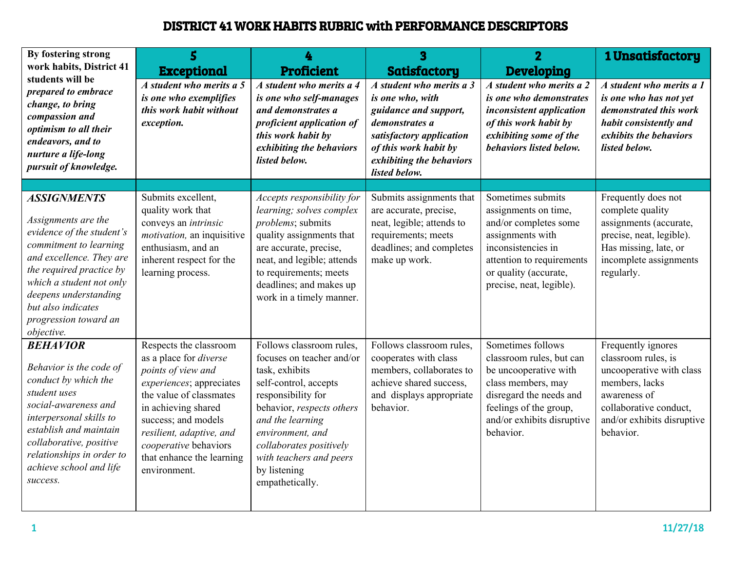## DISTRICT 41 WORK HABITS RUBRIC with PERFORMANCE DESCRIPTORS

| By fostering strong<br>work habits, District 41                                                                                                                                                                                                                            | 5<br><b>Exceptional</b>                                                                                                                                                                                                                                                              | <b>Proficient</b>                                                                                                                                                                                                                                                                    | 3<br><b>Satisfactory</b>                                                                                                                                                                  | $\overline{2}$<br><b>Developing</b>                                                                                                                                                            | 1 Unsatisfactory                                                                                                                                                             |
|----------------------------------------------------------------------------------------------------------------------------------------------------------------------------------------------------------------------------------------------------------------------------|--------------------------------------------------------------------------------------------------------------------------------------------------------------------------------------------------------------------------------------------------------------------------------------|--------------------------------------------------------------------------------------------------------------------------------------------------------------------------------------------------------------------------------------------------------------------------------------|-------------------------------------------------------------------------------------------------------------------------------------------------------------------------------------------|------------------------------------------------------------------------------------------------------------------------------------------------------------------------------------------------|------------------------------------------------------------------------------------------------------------------------------------------------------------------------------|
| students will be<br>prepared to embrace<br>change, to bring<br>compassion and<br>optimism to all their<br>endeavors, and to<br>nurture a life-long<br>pursuit of knowledge.                                                                                                | A student who merits a 5<br>is one who exemplifies<br>this work habit without<br>exception.                                                                                                                                                                                          | A student who merits a 4<br>is one who self-manages<br>and demonstrates a<br>proficient application of<br>this work habit by<br>exhibiting the behaviors<br>listed below.                                                                                                            | A student who merits a 3<br>is one who, with<br>guidance and support,<br>demonstrates a<br>satisfactory application<br>of this work habit by<br>exhibiting the behaviors<br>listed below. | A student who merits a 2<br>is one who demonstrates<br><i>inconsistent application</i><br>of this work habit by<br>exhibiting some of the<br>behaviors listed below.                           | A student who merits a 1<br>is one who has not yet<br>demonstrated this work<br>habit consistently and<br>exhibits the behaviors<br>listed below.                            |
|                                                                                                                                                                                                                                                                            |                                                                                                                                                                                                                                                                                      |                                                                                                                                                                                                                                                                                      |                                                                                                                                                                                           |                                                                                                                                                                                                |                                                                                                                                                                              |
| <b>ASSIGNMENTS</b><br>Assignments are the<br>evidence of the student's<br>commitment to learning<br>and excellence. They are<br>the required practice by<br>which a student not only<br>deepens understanding<br>but also indicates<br>progression toward an<br>objective. | Submits excellent,<br>quality work that<br>conveys an intrinsic<br><i>motivation</i> , an inquisitive<br>enthusiasm, and an<br>inherent respect for the<br>learning process.                                                                                                         | Accepts responsibility for<br>learning; solves complex<br>problems; submits<br>quality assignments that<br>are accurate, precise,<br>neat, and legible; attends<br>to requirements; meets<br>deadlines; and makes up<br>work in a timely manner.                                     | Submits assignments that<br>are accurate, precise,<br>neat, legible; attends to<br>requirements; meets<br>deadlines; and completes<br>make up work.                                       | Sometimes submits<br>assignments on time,<br>and/or completes some<br>assignments with<br>inconsistencies in<br>attention to requirements<br>or quality (accurate,<br>precise, neat, legible). | Frequently does not<br>complete quality<br>assignments (accurate,<br>precise, neat, legible).<br>Has missing, late, or<br>incomplete assignments<br>regularly.               |
| <b>BEHAVIOR</b><br>Behavior is the code of<br>conduct by which the<br>student uses<br>social-awareness and<br>interpersonal skills to<br>establish and maintain<br>collaborative, positive<br>relationships in order to<br>achieve school and life<br>success.             | Respects the classroom<br>as a place for <i>diverse</i><br>points of view and<br>experiences; appreciates<br>the value of classmates<br>in achieving shared<br>success; and models<br>resilient, adaptive, and<br>cooperative behaviors<br>that enhance the learning<br>environment. | Follows classroom rules,<br>focuses on teacher and/or<br>task, exhibits<br>self-control, accepts<br>responsibility for<br>behavior, respects others<br>and the learning<br>environment, and<br>collaborates positively<br>with teachers and peers<br>by listening<br>empathetically. | Follows classroom rules,<br>cooperates with class<br>members, collaborates to<br>achieve shared success,<br>and displays appropriate<br>behavior.                                         | Sometimes follows<br>classroom rules, but can<br>be uncooperative with<br>class members, may<br>disregard the needs and<br>feelings of the group,<br>and/or exhibits disruptive<br>behavior.   | Frequently ignores<br>classroom rules, is<br>uncooperative with class<br>members, lacks<br>awareness of<br>collaborative conduct,<br>and/or exhibits disruptive<br>behavior. |